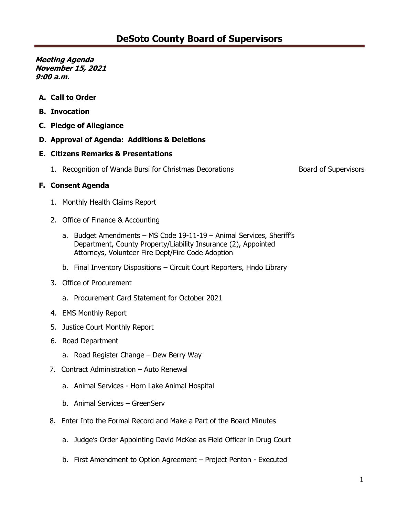- **A. Call to Order**
- **B. Invocation**
- **C. Pledge of Allegiance**
- **D. Approval of Agenda: Additions & Deletions**

### **E. Citizens Remarks & Presentations**

1. Recognition of Wanda Bursi for Christmas Decorations **Board of Supervisors** Board of Supervisors

## **F. Consent Agenda**

- 1. Monthly Health Claims Report
- 2. Office of Finance & Accounting
	- a. Budget Amendments MS Code 19-11-19 Animal Services, Sheriff's Department, County Property/Liability Insurance (2), Appointed Attorneys, Volunteer Fire Dept/Fire Code Adoption
	- b. Final Inventory Dispositions Circuit Court Reporters, Hndo Library
- 3. Office of Procurement
	- a. Procurement Card Statement for October 2021
- 4. EMS Monthly Report
- 5. Justice Court Monthly Report
- 6. Road Department
	- a. Road Register Change Dew Berry Way
- 7. Contract Administration Auto Renewal
	- a. Animal Services Horn Lake Animal Hospital
	- b. Animal Services GreenServ
- 8. Enter Into the Formal Record and Make a Part of the Board Minutes
	- a. Judge's Order Appointing David McKee as Field Officer in Drug Court
	- b. First Amendment to Option Agreement Project Penton Executed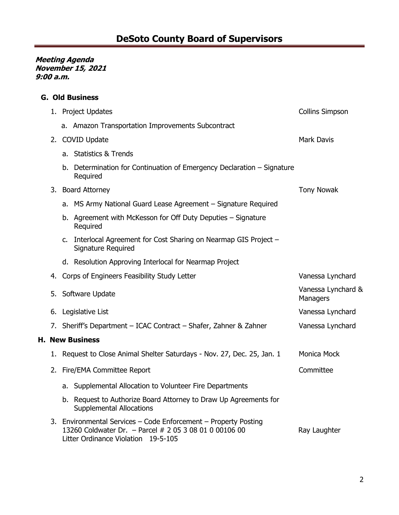|    | <b>G. Old Business</b> |                                                                                                                                                                  |                                |  |  |  |
|----|------------------------|------------------------------------------------------------------------------------------------------------------------------------------------------------------|--------------------------------|--|--|--|
|    |                        | 1. Project Updates                                                                                                                                               | <b>Collins Simpson</b>         |  |  |  |
|    |                        | a. Amazon Transportation Improvements Subcontract                                                                                                                |                                |  |  |  |
| 2. |                        | <b>COVID Update</b>                                                                                                                                              | <b>Mark Davis</b>              |  |  |  |
|    |                        | a. Statistics & Trends                                                                                                                                           |                                |  |  |  |
|    | b.                     | Determination for Continuation of Emergency Declaration – Signature<br>Required                                                                                  |                                |  |  |  |
| 3. |                        | <b>Board Attorney</b>                                                                                                                                            | <b>Tony Nowak</b>              |  |  |  |
|    |                        | a. MS Army National Guard Lease Agreement – Signature Required                                                                                                   |                                |  |  |  |
|    |                        | b. Agreement with McKesson for Off Duty Deputies - Signature<br>Required                                                                                         |                                |  |  |  |
|    |                        | c. Interlocal Agreement for Cost Sharing on Nearmap GIS Project -<br>Signature Required                                                                          |                                |  |  |  |
|    |                        | d. Resolution Approving Interlocal for Nearmap Project                                                                                                           |                                |  |  |  |
| 4. |                        | Corps of Engineers Feasibility Study Letter                                                                                                                      | Vanessa Lynchard               |  |  |  |
|    |                        | 5. Software Update                                                                                                                                               | Vanessa Lynchard &<br>Managers |  |  |  |
|    |                        | 6. Legislative List                                                                                                                                              | Vanessa Lynchard               |  |  |  |
|    |                        | 7. Sheriff's Department - ICAC Contract - Shafer, Zahner & Zahner                                                                                                | Vanessa Lynchard               |  |  |  |
|    |                        | <b>H. New Business</b>                                                                                                                                           |                                |  |  |  |
|    |                        | 1. Request to Close Animal Shelter Saturdays - Nov. 27, Dec. 25, Jan. 1                                                                                          | Monica Mock                    |  |  |  |
| 2. |                        | Fire/EMA Committee Report                                                                                                                                        | Committee                      |  |  |  |
|    |                        | a. Supplemental Allocation to Volunteer Fire Departments                                                                                                         |                                |  |  |  |
|    |                        | b. Request to Authorize Board Attorney to Draw Up Agreements for<br><b>Supplemental Allocations</b>                                                              |                                |  |  |  |
|    |                        | 3. Environmental Services - Code Enforcement - Property Posting<br>13260 Coldwater Dr. - Parcel # 2 05 3 08 01 0 00106 00<br>Litter Ordinance Violation 19-5-105 | Ray Laughter                   |  |  |  |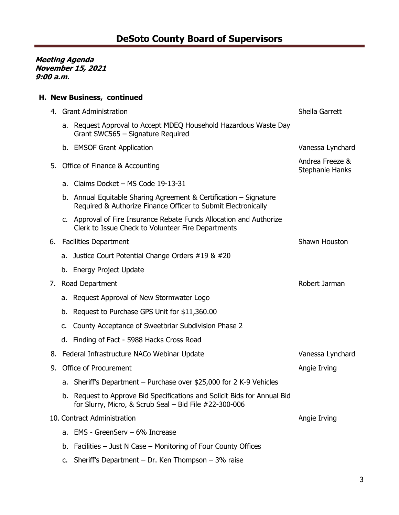# **H. New Business, continued**

|    | 4. Grant Administration |                                                                                                                                    | Sheila Garrett                     |
|----|-------------------------|------------------------------------------------------------------------------------------------------------------------------------|------------------------------------|
|    |                         | a. Request Approval to Accept MDEQ Household Hazardous Waste Day<br>Grant SWC565 - Signature Required                              |                                    |
|    |                         | b. EMSOF Grant Application                                                                                                         | Vanessa Lynchard                   |
| 5. |                         | Office of Finance & Accounting                                                                                                     | Andrea Freeze &<br>Stephanie Hanks |
|    |                         | a. Claims Docket - MS Code 19-13-31                                                                                                |                                    |
|    | b.                      | Annual Equitable Sharing Agreement & Certification – Signature<br>Required & Authorize Finance Officer to Submit Electronically    |                                    |
|    |                         | c. Approval of Fire Insurance Rebate Funds Allocation and Authorize<br>Clerk to Issue Check to Volunteer Fire Departments          |                                    |
|    |                         | 6. Facilities Department                                                                                                           | Shawn Houston                      |
|    |                         | a. Justice Court Potential Change Orders #19 & #20                                                                                 |                                    |
|    |                         | b. Energy Project Update                                                                                                           |                                    |
|    |                         | 7. Road Department                                                                                                                 | Robert Jarman                      |
|    |                         | a. Request Approval of New Stormwater Logo                                                                                         |                                    |
|    | b.                      | Request to Purchase GPS Unit for \$11,360.00                                                                                       |                                    |
|    | c.                      | County Acceptance of Sweetbriar Subdivision Phase 2                                                                                |                                    |
|    |                         | d. Finding of Fact - 5988 Hacks Cross Road                                                                                         |                                    |
|    |                         | 8. Federal Infrastructure NACo Webinar Update                                                                                      | Vanessa Lynchard                   |
| 9. | Office of Procurement   |                                                                                                                                    | Angie Irving                       |
|    |                         | a. Sheriff's Department - Purchase over \$25,000 for 2 K-9 Vehicles                                                                |                                    |
|    |                         | b. Request to Approve Bid Specifications and Solicit Bids for Annual Bid<br>for Slurry, Micro, & Scrub Seal - Bid File #22-300-006 |                                    |
|    |                         | 10. Contract Administration                                                                                                        | Angie Irving                       |
|    | a.                      | EMS - GreenServ – 6% Increase                                                                                                      |                                    |
|    | b.                      | Facilities - Just N Case - Monitoring of Four County Offices                                                                       |                                    |
|    |                         | c. Sheriff's Department - Dr. Ken Thompson $-3\%$ raise                                                                            |                                    |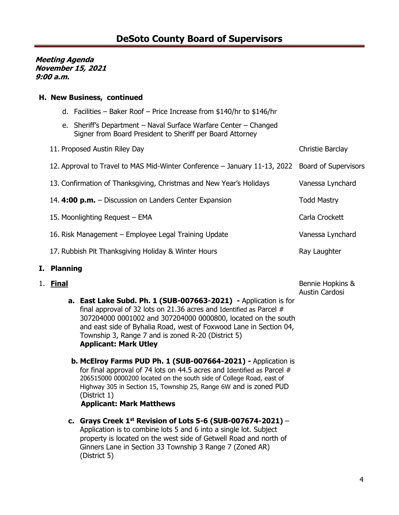## **H. New Business, continued**

| d. Facilities – Baker Roof – Price Increase from \$140/hr to \$146/hr |  |
|-----------------------------------------------------------------------|--|
|                                                                       |  |

e. Sheriff's Department – Naval Surface Warfare Center – Changed Signer from Board President to Sheriff per Board Attorney

| 11. Proposed Austin Riley Day                                                                  | Christie Barclay   |
|------------------------------------------------------------------------------------------------|--------------------|
| 12. Approval to Travel to MAS Mid-Winter Conference - January 11-13, 2022 Board of Supervisors |                    |
| 13. Confirmation of Thanksgiving, Christmas and New Year's Holidays                            | Vanessa Lynchard   |
| 14. 4:00 p.m. – Discussion on Landers Center Expansion                                         | <b>Todd Mastry</b> |
| 15. Moonlighting Request - EMA                                                                 | Carla Crockett     |
| 16. Risk Management – Employee Legal Training Update                                           | Vanessa Lynchard   |
| 17. Rubbish Pit Thanksgiving Holiday & Winter Hours                                            | Ray Laughter       |

# **I. Planning**

### 1. **Final**

Bennie Hopkins & Austin Cardosi

- **a. East Lake Subd. Ph. 1 (SUB-007663-2021) -** Application is for final approval of 32 lots on 21.36 acres and Identified as Parcel # 307204000 0001002 and 307204000 0000800, located on the south and east side of Byhalia Road, west of Foxwood Lane in Section 04, Township 3, Range 7 and is zoned R-20 (District 5) **Applicant: Mark Utley**
- **b. McElroy Farms PUD Ph. 1 (SUB-007664-2021) -** Application is for final approval of 74 lots on 44.5 acres and Identified as Parcel # 206515000 0000200 located on the south side of College Road, east of Highway 305 in Section 15, Township 25, Range 6W and is zoned PUD (District 1)  **Applicant: Mark Matthews**
- **c. Grays Creek 1st Revision of Lots 5-6 (SUB-007674-2021)**  Application is to combine lots 5 and 6 into a single lot. Subject property is located on the west side of Getwell Road and north of Ginners Lane in Section 33 Township 3 Range 7 (Zoned AR) (District 5)